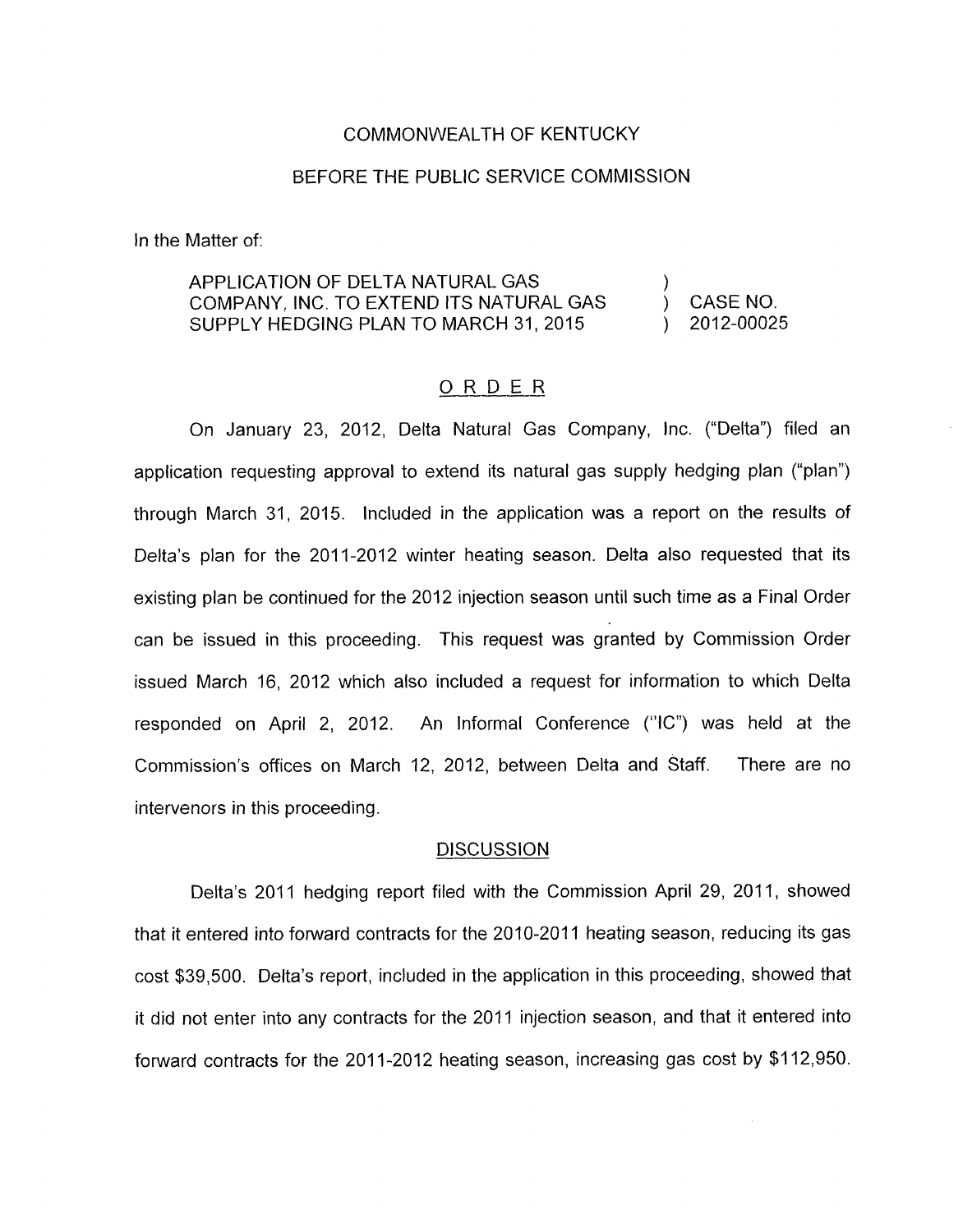# COMMONWEALTH OF KENTUCKY

# BEFORE THE PUBLIC SERVICE COMMISSION

In the Matter of:

#### APPLICATION OF DELTA NATURAL GAS COMPANY, INC. TO EXTEND ITS NATURAL GAS (CASE NO. SUPPLY HEDGING PLAN TO MARCH 31, 2015 (2012-00025)  $)$

# ORDER

On January 23, 2012, Delta Natural Gas Company, Inc. ("Delta") filed an application requesting approval to extend its natural gas supply hedging plan ("plan") through March 31, 2015. Included in the application was a report on the results of Delta's plan for the 2011-2012 winter heating season. Delta also requested that its existing plan be continued for the 2012 injection season until such time as a Final Order can be issued in this proceeding. This request was granted by Commission Order issued March 16, 2012 which also included a request for information to which Delta responded on April 2, 2012. An Informal Conference ("IC1') was held at the Commission's offices on March 12, 2012, between Delta and Staff. There are no intervenors in this proceeding.

# DISCUSSION

Delta's 2011 hedging report filed with the Commission April 29, 2011, showed that it entered into forward contracts for the 2010-2011 heating season, reducing its gas cost \$39,500. Delta's report, included in the application in this proceeding, showed that it did not enter into any contracts for the 2011 injection season, and that it entered into forward contracts for the 2011-2012 heating season, increasing gas cost by \$112,950.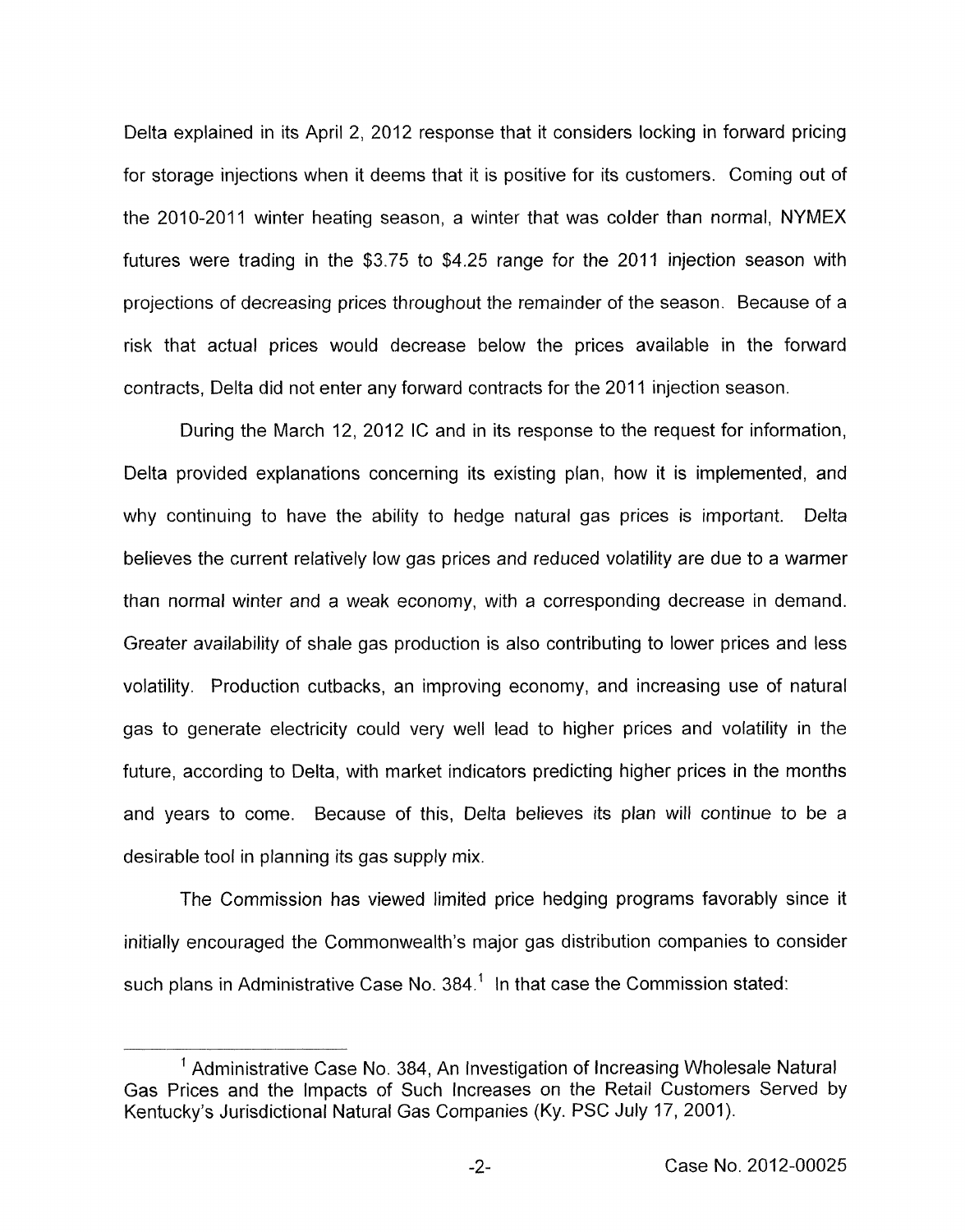Delta explained in its April 2, 2012 response that it considers locking in forward pricing for storage injections when it deems that it is positive for its customers. Coming out of the 2010-2011 winter heating season, a winter that was colder than normal, NYMEX futures were trading in the \$3.75 to \$4.25 range for the 2011 injection season with projections of decreasing prices throughout the remainder of the season. Because of a risk that actual prices would decrease below the prices available in the forward contracts, Delta did not enter any forward contracts for the 2011 injection season.

During the March 12, 2012 IC and in its response to the request for information, Delta provided explanations concerning its existing plan, how it is implemented, and why continuing to have the ability to hedge natural gas prices is important. Delta believes the current relatively low gas prices and reduced volatility are due to a warmer than normal winter and a weak economy, with a corresponding decrease in demand. Greater availability of shale gas production is also contributing to lower prices and less volatility. Production cutbacks, an improving economy, and increasing use of natural gas to generate electricity could very well lead to higher prices and volatility in the future, according to Delta, with market indicators predicting higher prices in the months and years to come. Because of this, Delta believes its plan will continue to be a desirable tool in planning its gas supply mix.

The Commission has viewed limited price hedging programs favorably since it initially encouraged the Commonwealth's major gas distribution companies to consider such plans in Administrative Case No. 384.<sup>1</sup> In that case the Commission stated:

<sup>&#</sup>x27; Administrative Case No. 384, An Investigation of Increasing Wholesale Natural Gas Prices and the impacts of Such Increases on the Retail Customers Served by Kentucky's Jurisdictional Natural Gas Companies (Ky. PSC July 17, 2001).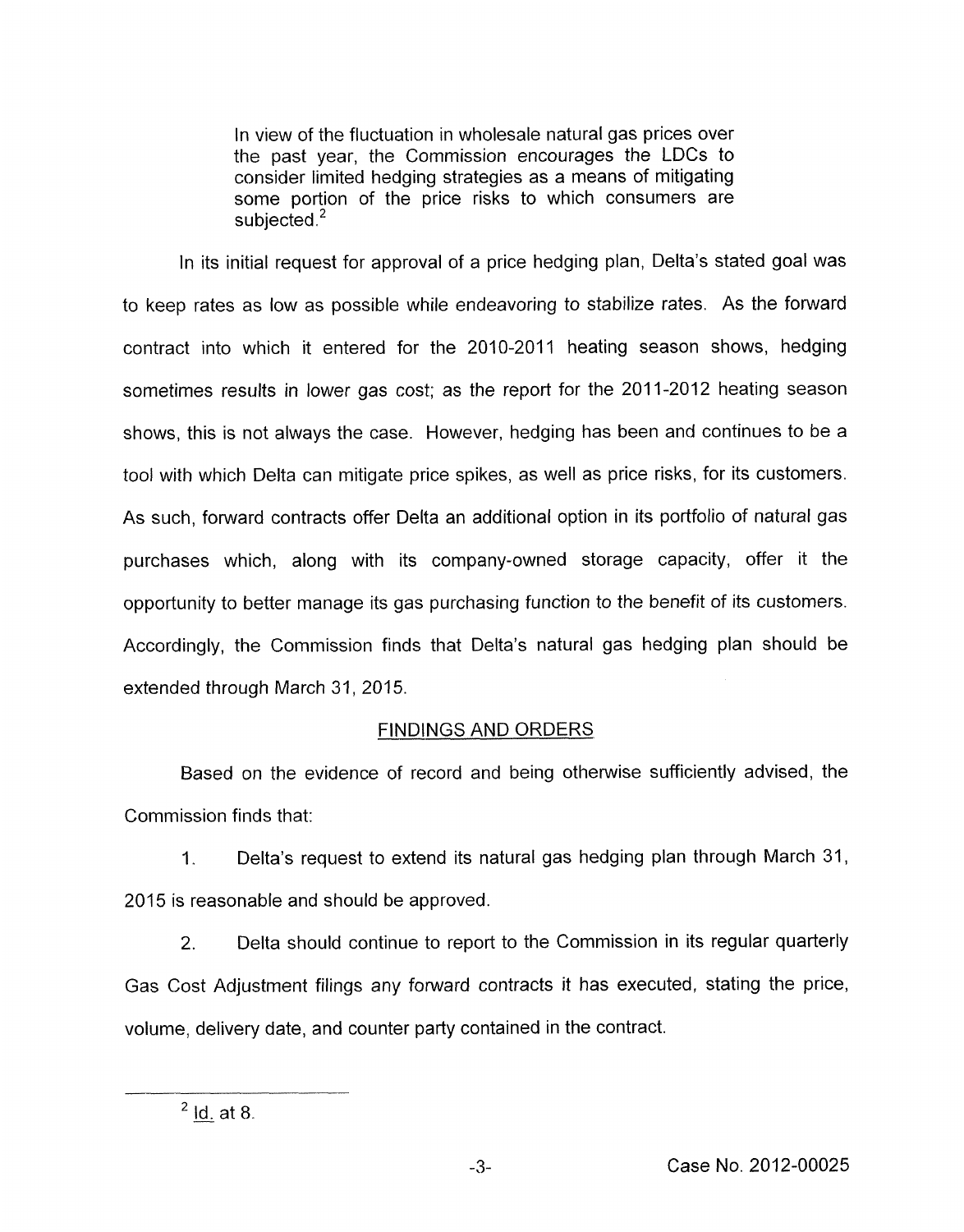In view of the fluctuation in wholesale natural gas prices over the past year, the Commission encourages the LDCs to consider limited hedging strategies as a means of mitigating some portion of the price risks to which consumers are subjected.<sup>2</sup>

In its initial request for approval of a price hedging plan, Delta's stated goal was to keep rates as low as possible while endeavoring to stabilize rates. As the forward contract into which it entered for the 2010-2011 heating season shows, hedging sometimes results in lower gas cost; as the report for the 2011-2012 heating season shows, this is not always the case. However, hedging has been and continues to be a tool with which Delta can mitigate price spikes, as well as price risks, for its customers. As such, forward contracts offer Delta an additional option in its portfolio of natural gas purchases which, along with its company-owned storage capacity, offer it the opportunity to better manage its gas purchasing function to the benefit of its customers. Accordingly, the Commission finds that Delta's natural gas hedging plan should be extended through March 31, 2015.

# FINDINGS AND ORDERS

Based on the evidence of record and being otherwise sufficiently advised, the Commission finds that:

1. Delta's request to extend its natural gas hedging plan through March 31, 2015 is reasonable and should be approved.

2. Delta should continue to report to the Commission in its regular quarterly Gas Cost Adjustment filings any forward contracts it has executed, stating the price, volume, delivery date, and counter party contained in the contract.

 $2$  <u>Id.</u> at 8.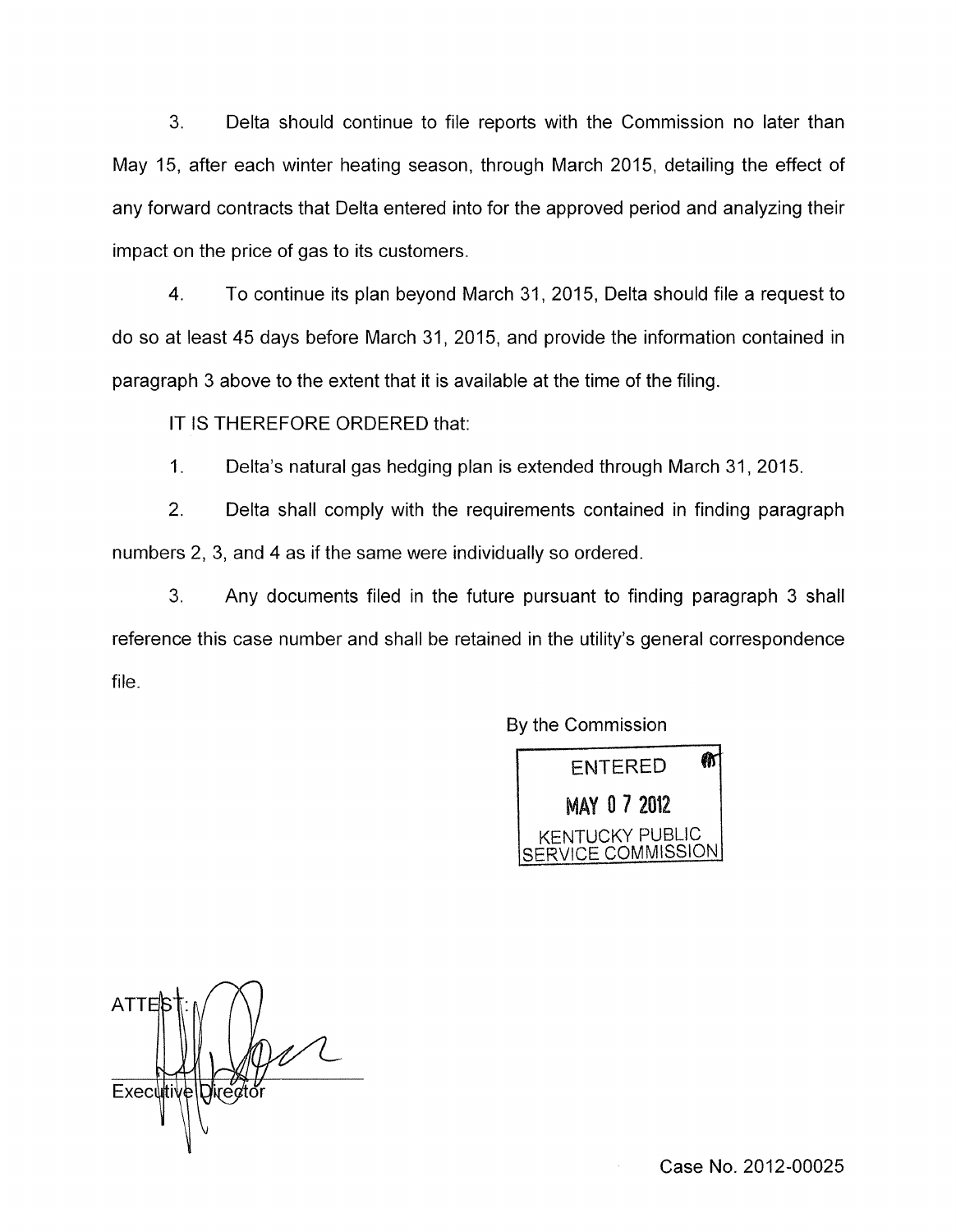3. Delta should continue to file reports with the Commission no later than May 15, after each winter heating season, through March 2015, detailing the effect of any forward contracts that Delta entered into for the approved period and analyzing their impact on the price of gas to its customers.

**4.** To continue its plan beyond March 31 , 201 5, Delta should file a request to do so at least 45 days before March 31, 2015, and provide the information contained in paragraph 3 above to the extent that it is available at the time of the filing.

IT IS THEREFORE ORDERED that:

1. Delta's natural gas hedging plan is extended through March 31, 2015.

2. Delta shall comply with the requirements contained in finding paragraph numbers 2, 3, and 4 as if the same were individually so ordered.

3. Any documents filed in the future pursuant to finding paragraph 3 shall reference this case number and shall be retained in the utility's general correspondence file.

By the Commission



**ATTE** Executive **Directo**